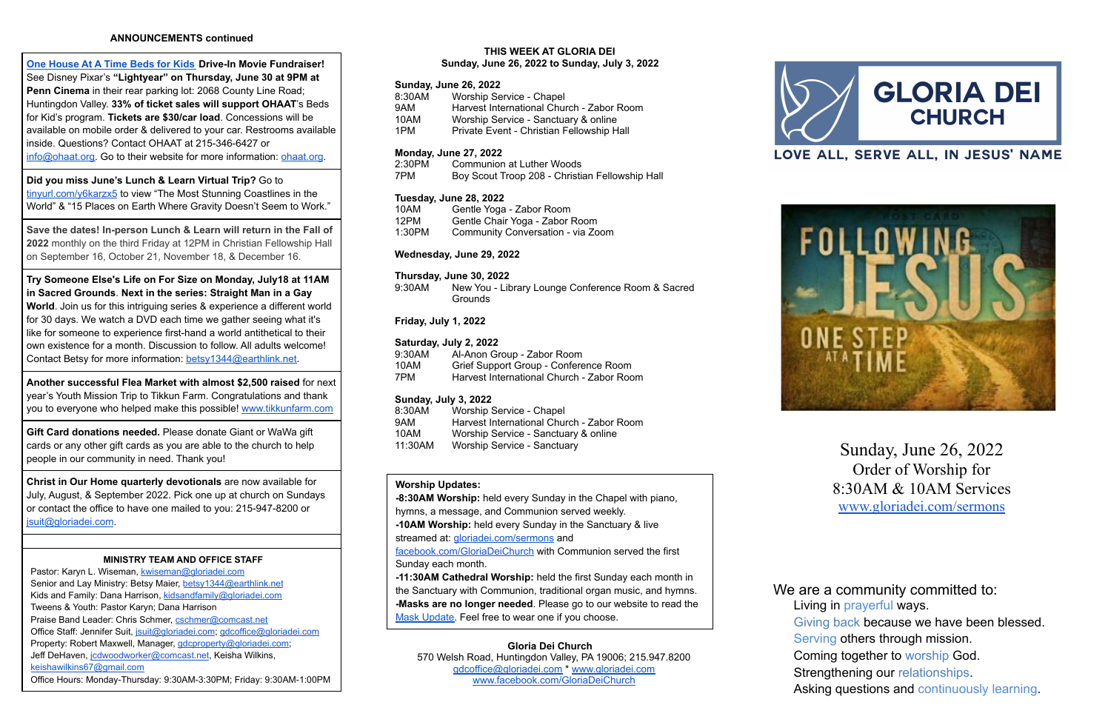## **ANNOUNCEMENTS continued**

**One [House](http://ohaat.org/) At A Time Beds for Kids Drive-In Movie Fundraiser!** See Disney Pixar's **"Lightyear" on Thursday, June 30 at 9PM at Penn Cinema** in their rear parking lot: 2068 County Line Road; Huntingdon Valley. **33% of ticket sales will support OHAAT**'s Beds for Kid's program. **Tickets are \$30/car load**. Concessions will be available on mobile order & delivered to your car. Restrooms available inside. Questions? Contact OHAAT at 215-346-6427 or [info@ohaat.org.](mailto:info@ohaat.org) Go to their website for more information: [ohaat.org](http://ohaat.org/).

**Did you miss June's Lunch & Learn Virtual Trip?** Go to [tinyurl.com/y6karzx5](https://tinyurl.com/y6karzx5) to view "The Most Stunning Coastlines in the World" & "15 Places on Earth Where Gravity Doesn't Seem to Work."

**Save the dates! In-person Lunch & Learn will return in the Fall of 2022** monthly on the third Friday at 12PM in Christian Fellowship Hall on September 16, October 21, November 18, & December 16.

**Try Someone Else's Life on For Size on Monday, July18 at 11AM in Sacred Grounds**. **Next in the series: Straight Man in a Gay World**. Join us for this intriguing series & experience a different world for 30 days. We watch a DVD each time we gather seeing what it's like for someone to experience first-hand a world antithetical to their own existence for a month. Discussion to follow. All adults welcome! Contact Betsy for more information: [betsy1344@earthlink.net.](mailto:betsy1344@earthlink.net)

Pastor: Karyn L. Wiseman, [kwiseman@gloriadei.com](mailto:kwiseman@gloriadei.com) Senior and Lay Ministry: Betsy Maier, [betsy1344@earthlink.net](mailto:betsy1344@earthlink.net) Kids and Family: Dana Harrison, [kidsandfamily@gloriadei.com](mailto:kidsandfamily@gloriadei.com) Tweens & Youth: Pastor Karyn; Dana Harrison Praise Band Leader: Chris Schmer, [cschmer@comcast.net](mailto:cschmer@comcast.net) Office Staff: Jennifer Suit, [jsuit@gloriadei.com;](mailto:jsuit@gloriadei.com) [gdcoffice@gloriadei.com](mailto:gdcoffice@gloriadei.com) Property: Robert Maxwell, Manager, [gdcproperty@gloriadei.com](mailto:gdcproperty@gloriadei.com); Jeff DeHaven, [jcdwoodworker@comcast.net](mailto:jcdwoodworker@comcast.net), Keisha Wilkins, [keishawilkins67@gmail.com](mailto:keishawilkins67@gmail.com) Office Hours: Monday-Thursday: 9:30AM-3:30PM; Friday: 9:30AM-1:00PM

**Another successful Flea Market with almost \$2,500 raised** for next year's Youth Mission Trip to Tikkun Farm. Congratulations and thank you to everyone who helped make this possible! [www.tikkunfarm.com](http://www.tikkunfarm.com)

9:30AM New You - Library Lounge Conference Room & Sacred **Grounds** 

**Gift Card donations needed.** Please donate Giant or WaWa gift cards or any other gift cards as you are able to the church to help people in our community in need. Thank you!

**Christ in Our Home quarterly devotionals** are now available for July, August, & September 2022. Pick one up at church on Sundays or contact the office to have one mailed to you: 215-947-8200 or [jsuit@gloriadei.com](mailto:jsuit@gloriadei.com).

## **MINISTRY TEAM AND OFFICE STAFF**

We are a community committed to: Living in prayerful ways. Giving back because we have been blessed. Serving others through mission. Coming together to worship God. Strengthening our relationships. Asking questions and continuously learning.

#### **THIS WEEK AT GLORIA DEI Sunday, June 26, 2022 to Sunday, July 3, 2022**

### **Sunday, June 26, 2022**

| Worship Service - Chapel                  |
|-------------------------------------------|
| Harvest International Church - Zabor Room |
| Worship Service - Sanctuary & online      |
| Private Event - Christian Fellowship Hall |
|                                           |

#### **Monday, June 27, 2022**

| 2:30PM | Communion at Luther Woods                       |
|--------|-------------------------------------------------|
| 7PM    | Boy Scout Troop 208 - Christian Fellowship Hall |

#### **Tuesday, June 28, 2022**

| 10AM   | Gentle Yoga - Zabor Room          |
|--------|-----------------------------------|
| 12PM   | Gentle Chair Yoga - Zabor Room    |
| 1:30PM | Community Conversation - via Zoom |

#### **Wednesday, June 29, 2022**

#### **Thursday, June 30, 2022**

## **Friday, July 1, 2022**

#### **Saturday, July 2, 2022**

| 9:30AM | Al-Anon Group - Zabor Room                |
|--------|-------------------------------------------|
| 10AM   | Grief Support Group - Conference Room     |
| 7PM    | Harvest International Church - Zabor Room |

#### **Sunday, July 3, 2022**

| 8:30AM  | Worship Service - Chapel                  |
|---------|-------------------------------------------|
| 9AM     | Harvest International Church - Zabor Room |
| 10AM    | Worship Service - Sanctuary & online      |
| 11:30AM | <b>Worship Service - Sanctuary</b>        |

## **Worship Updates:**

**-8:30AM Worship:** held every Sunday in the Chapel with piano, hymns, a message, and Communion served weekly.

**-10AM Worship:** held every Sunday in the Sanctuary & live

streamed at: *[gloriadei.com/sermons](http://www.gloriadei.com/sermons)* and

[facebook.com/GloriaDeiChurch](https://www.facebook.com/GloriaDeiChurch) with Communion served the first Sunday each month.

**-11:30AM Cathedral Worship:** held the first Sunday each month in the Sanctuary with Communion, traditional organ music, and hymns. **-Masks are no longer needed**. Please go to our website to read the Mask [Update.](https://gloriadei.com/wp-content/uploads/2022/03/Masks-Recommended-Update3-14-22.pdf) Feel free to wear one if you choose.

**Gloria Dei Church** 570 Welsh Road, Huntingdon Valley, PA 19006; 215.947.8200 [gdcoffice@gloriadei.com](mailto:gdcoffice@gloriadei.com) \* [www.gloriadei.com](http://www.gloriadei.com) [www.facebook.com/GloriaDeiChurch](http://www.facebook.com/GloriaDeiChurch)







Sunday, June 26, 2022 Order of Worship for 8:30AM & 10AM Services [www.gloriadei.com/sermons](http://www.gloriadei.com/sermons)